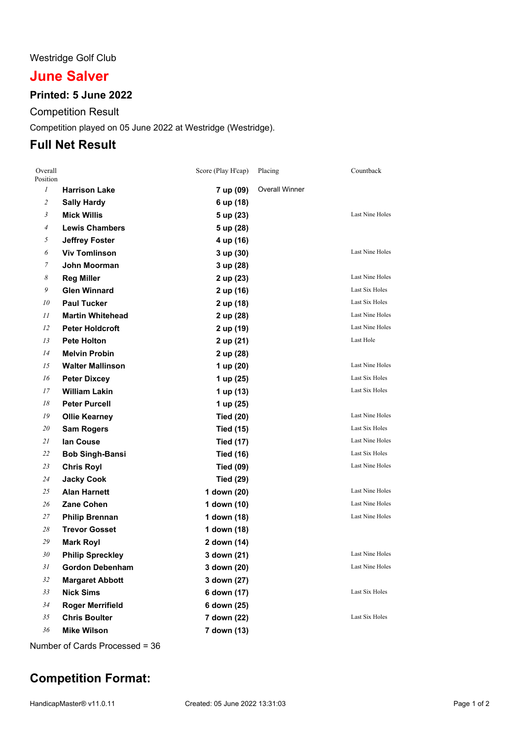### Westridge Golf Club

# **June Salver**

### **Printed: 5 June 2022**

Competition Result

Competition played on 05 June 2022 at Westridge (Westridge).

## **Full Net Result**

| Overall<br>Position |                         | Score (Play H'cap) | Placing               | Countback              |
|---------------------|-------------------------|--------------------|-----------------------|------------------------|
| $\mathcal{I}$       | <b>Harrison Lake</b>    | 7 up (09)          | <b>Overall Winner</b> |                        |
| $\overline{c}$      | <b>Sally Hardy</b>      | 6 up (18)          |                       |                        |
| 3                   | <b>Mick Willis</b>      | 5 up (23)          |                       | Last Nine Holes        |
| 4                   | <b>Lewis Chambers</b>   | 5 up (28)          |                       |                        |
| 5                   | <b>Jeffrey Foster</b>   | 4 up (16)          |                       |                        |
| 6                   | <b>Viv Tomlinson</b>    | 3 up (30)          |                       | Last Nine Holes        |
| 7                   | John Moorman            | 3 up (28)          |                       |                        |
| 8                   | <b>Reg Miller</b>       | 2 up (23)          |                       | Last Nine Holes        |
| 9                   | <b>Glen Winnard</b>     | 2 up (16)          |                       | Last Six Holes         |
| 10                  | <b>Paul Tucker</b>      | 2 up (18)          |                       | Last Six Holes         |
| 11                  | <b>Martin Whitehead</b> | 2 up (28)          |                       | Last Nine Holes        |
| 12                  | <b>Peter Holdcroft</b>  | 2 up (19)          |                       | <b>Last Nine Holes</b> |
| 13                  | <b>Pete Holton</b>      | 2 up (21)          |                       | Last Hole              |
| 14                  | <b>Melvin Probin</b>    | 2 up (28)          |                       |                        |
| 15                  | <b>Walter Mallinson</b> | 1 up (20)          |                       | Last Nine Holes        |
| 16                  | <b>Peter Dixcey</b>     | 1 up (25)          |                       | Last Six Holes         |
| 17                  | <b>William Lakin</b>    | 1 up (13)          |                       | Last Six Holes         |
| 18                  | <b>Peter Purcell</b>    | 1 up (25)          |                       |                        |
| 19                  | <b>Ollie Kearney</b>    | <b>Tied (20)</b>   |                       | <b>Last Nine Holes</b> |
| 20                  | <b>Sam Rogers</b>       | <b>Tied (15)</b>   |                       | Last Six Holes         |
| 21                  | lan Couse               | <b>Tied (17)</b>   |                       | <b>Last Nine Holes</b> |
| 22                  | <b>Bob Singh-Bansi</b>  | <b>Tied (16)</b>   |                       | Last Six Holes         |
| 23                  | <b>Chris Royl</b>       | <b>Tied (09)</b>   |                       | Last Nine Holes        |
| 24                  | <b>Jacky Cook</b>       | <b>Tied (29)</b>   |                       |                        |
| 25                  | <b>Alan Harnett</b>     | 1 down (20)        |                       | Last Nine Holes        |
| 26                  | <b>Zane Cohen</b>       | 1 down (10)        |                       | Last Nine Holes        |
| 27                  | <b>Philip Brennan</b>   | 1 down (18)        |                       | Last Nine Holes        |
| 28                  | <b>Trevor Gosset</b>    | 1 down (18)        |                       |                        |
| 29                  | <b>Mark Royl</b>        | 2 down (14)        |                       |                        |
| 30                  | <b>Philip Spreckley</b> | 3 down (21)        |                       | Last Nine Holes        |
| 31                  | <b>Gordon Debenham</b>  | 3 down (20)        |                       | Last Nine Holes        |
| 32                  | <b>Margaret Abbott</b>  | 3 down (27)        |                       |                        |
| 33                  | <b>Nick Sims</b>        | 6 down (17)        |                       | Last Six Holes         |
| 34                  | <b>Roger Merrifield</b> | 6 down (25)        |                       |                        |
| 35                  | <b>Chris Boulter</b>    | 7 down (22)        |                       | Last Six Holes         |
| 36                  | <b>Mike Wilson</b>      | 7 down (13)        |                       |                        |

Number of Cards Processed = 36

## **Competition Format:**